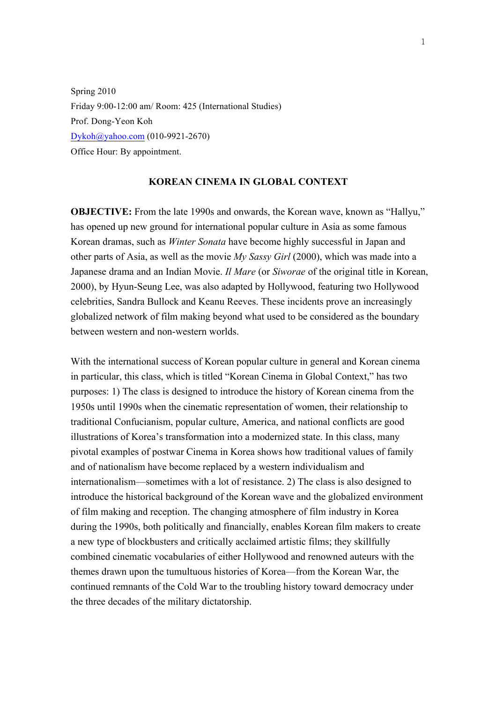Spring 2010 Friday 9:00-12:00 am/ Room: 425 (International Studies) Prof. Dong-Yeon Koh Dykoh@yahoo.com (010-9921-2670) Office Hour: By appointment.

### **KOREAN CINEMA IN GLOBAL CONTEXT**

**OBJECTIVE:** From the late 1990s and onwards, the Korean wave, known as "Hallyu," has opened up new ground for international popular culture in Asia as some famous Korean dramas, such as *Winter Sonata* have become highly successful in Japan and other parts of Asia, as well as the movie *My Sassy Girl* (2000), which was made into a Japanese drama and an Indian Movie. *Il Mare* (or *Siworae* of the original title in Korean, 2000), by Hyun-Seung Lee, was also adapted by Hollywood, featuring two Hollywood celebrities, Sandra Bullock and Keanu Reeves. These incidents prove an increasingly globalized network of film making beyond what used to be considered as the boundary between western and non-western worlds.

With the international success of Korean popular culture in general and Korean cinema in particular, this class, which is titled "Korean Cinema in Global Context," has two purposes: 1) The class is designed to introduce the history of Korean cinema from the 1950s until 1990s when the cinematic representation of women, their relationship to traditional Confucianism, popular culture, America, and national conflicts are good illustrations of Korea's transformation into a modernized state. In this class, many pivotal examples of postwar Cinema in Korea shows how traditional values of family and of nationalism have become replaced by a western individualism and internationalism—sometimes with a lot of resistance. 2) The class is also designed to introduce the historical background of the Korean wave and the globalized environment of film making and reception. The changing atmosphere of film industry in Korea during the 1990s, both politically and financially, enables Korean film makers to create a new type of blockbusters and critically acclaimed artistic films; they skillfully combined cinematic vocabularies of either Hollywood and renowned auteurs with the themes drawn upon the tumultuous histories of Korea—from the Korean War, the continued remnants of the Cold War to the troubling history toward democracy under the three decades of the military dictatorship.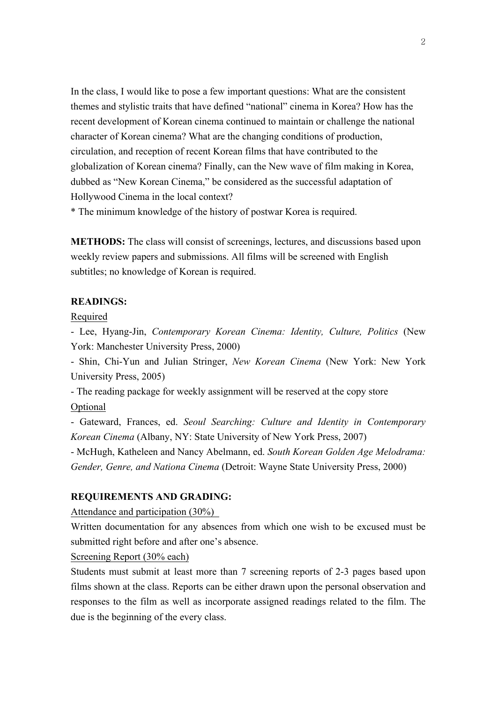In the class, I would like to pose a few important questions: What are the consistent themes and stylistic traits that have defined "national" cinema in Korea? How has the recent development of Korean cinema continued to maintain or challenge the national character of Korean cinema? What are the changing conditions of production, circulation, and reception of recent Korean films that have contributed to the globalization of Korean cinema? Finally, can the New wave of film making in Korea, dubbed as "New Korean Cinema," be considered as the successful adaptation of Hollywood Cinema in the local context?

\* The minimum knowledge of the history of postwar Korea is required.

**METHODS:** The class will consist of screenings, lectures, and discussions based upon weekly review papers and submissions. All films will be screened with English subtitles; no knowledge of Korean is required.

#### **READINGS:**

Required

- Lee, Hyang-Jin, *Contemporary Korean Cinema: Identity, Culture, Politics* (New York: Manchester University Press, 2000)

- Shin, Chi-Yun and Julian Stringer, *New Korean Cinema* (New York: New York University Press, 2005)

- The reading package for weekly assignment will be reserved at the copy store **Optional** 

- Gateward, Frances, ed. *Seoul Searching: Culture and Identity in Contemporary Korean Cinema* (Albany, NY: State University of New York Press, 2007)

- McHugh, Katheleen and Nancy Abelmann, ed. *South Korean Golden Age Melodrama: Gender, Genre, and Nationa Cinema* (Detroit: Wayne State University Press, 2000)

### **REQUIREMENTS AND GRADING:**

Attendance and participation (30%)

Written documentation for any absences from which one wish to be excused must be submitted right before and after one's absence.

Screening Report (30% each)

Students must submit at least more than 7 screening reports of 2-3 pages based upon films shown at the class. Reports can be either drawn upon the personal observation and responses to the film as well as incorporate assigned readings related to the film. The due is the beginning of the every class.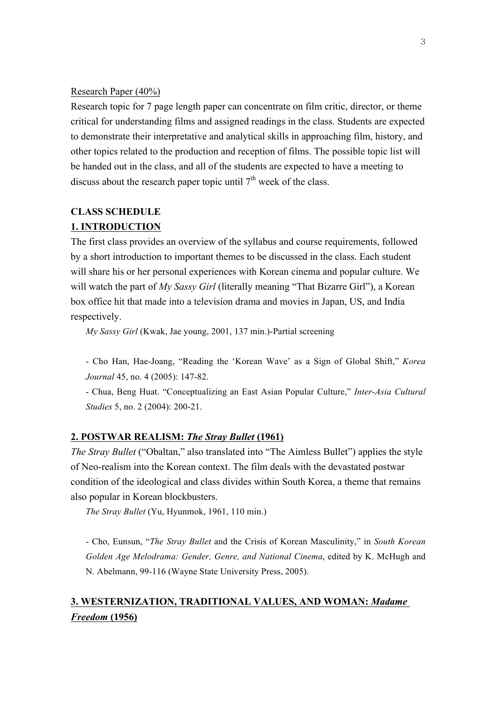#### Research Paper (40%)

Research topic for 7 page length paper can concentrate on film critic, director, or theme critical for understanding films and assigned readings in the class. Students are expected to demonstrate their interpretative and analytical skills in approaching film, history, and other topics related to the production and reception of films. The possible topic list will be handed out in the class, and all of the students are expected to have a meeting to discuss about the research paper topic until  $7<sup>th</sup>$  week of the class.

# **CLASS SCHEDULE 1. INTRODUCTION**

The first class provides an overview of the syllabus and course requirements, followed by a short introduction to important themes to be discussed in the class. Each student will share his or her personal experiences with Korean cinema and popular culture. We will watch the part of *My Sassy Girl* (literally meaning "That Bizarre Girl"), a Korean box office hit that made into a television drama and movies in Japan, US, and India respectively.

*My Sassy Girl* (Kwak, Jae young, 2001, 137 min.)-Partial screening

- Cho Han, Hae-Joang, "Reading the 'Korean Wave' as a Sign of Global Shift," *Korea Journal* 45, no. 4 (2005): 147-82.

- Chua, Beng Huat. "Conceptualizing an East Asian Popular Culture," *Inter-Asia Cultural Studies* 5, no. 2 (2004): 200-21.

### **2. POSTWAR REALISM:** *The Stray Bullet* **(1961)**

*The Stray Bullet* ("Obaltan," also translated into "The Aimless Bullet") applies the style of Neo-realism into the Korean context. The film deals with the devastated postwar condition of the ideological and class divides within South Korea, a theme that remains also popular in Korean blockbusters.

*The Stray Bullet* (Yu, Hyunmok, 1961, 110 min.)

- Cho, Eunsun, "*The Stray Bullet* and the Crisis of Korean Masculinity," in *South Korean Golden Age Melodrama: Gender, Genre, and National Cinema*, edited by K. McHugh and N. Abelmann, 99-116 (Wayne State University Press, 2005).

# **3. WESTERNIZATION, TRADITIONAL VALUES, AND WOMAN:** *Madame Freedom* **(1956)**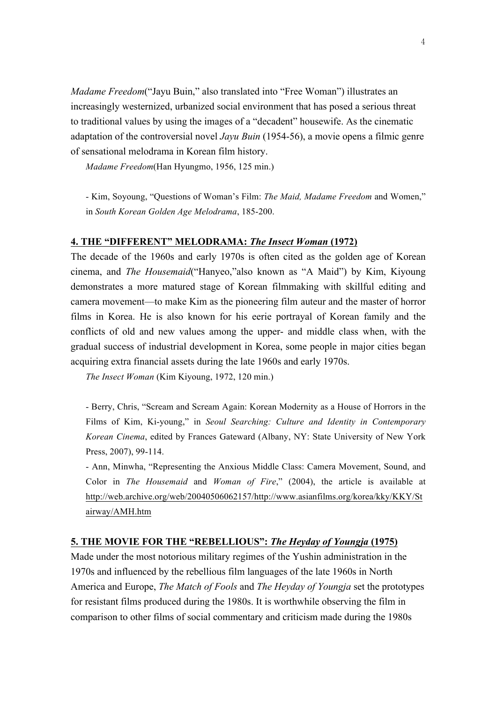*Madame Freedom*("Jayu Buin," also translated into "Free Woman") illustrates an increasingly westernized, urbanized social environment that has posed a serious threat to traditional values by using the images of a "decadent" housewife. As the cinematic adaptation of the controversial novel *Jayu Buin* (1954-56), a movie opens a filmic genre of sensational melodrama in Korean film history.

*Madame Freedom*(Han Hyungmo, 1956, 125 min.)

- Kim, Soyoung, "Questions of Woman's Film: *The Maid, Madame Freedom* and Women," in *South Korean Golden Age Melodrama*, 185-200.

#### **4. THE "DIFFERENT" MELODRAMA:** *The Insect Woman* **(1972)**

The decade of the 1960s and early 1970s is often cited as the golden age of Korean cinema, and *The Housemaid*("Hanyeo,"also known as "A Maid") by Kim, Kiyoung demonstrates a more matured stage of Korean filmmaking with skillful editing and camera movement—to make Kim as the pioneering film auteur and the master of horror films in Korea. He is also known for his eerie portrayal of Korean family and the conflicts of old and new values among the upper- and middle class when, with the gradual success of industrial development in Korea, some people in major cities began acquiring extra financial assets during the late 1960s and early 1970s.

*The Insect Woman* (Kim Kiyoung, 1972, 120 min.)

- Berry, Chris, "Scream and Scream Again: Korean Modernity as a House of Horrors in the Films of Kim, Ki-young," in *Seoul Searching: Culture and Identity in Contemporary Korean Cinema*, edited by Frances Gateward (Albany, NY: State University of New York Press, 2007), 99-114.

- Ann, Minwha, "Representing the Anxious Middle Class: Camera Movement, Sound, and Color in *The Housemaid* and *Woman of Fire*," (2004), the article is available at http://web.archive.org/web/20040506062157/http://www.asianfilms.org/korea/kky/KKY/St airway/AMH.htm

### **5. THE MOVIE FOR THE "REBELLIOUS":** *The Heyday of Youngja* **(1975)**

Made under the most notorious military regimes of the Yushin administration in the 1970s and influenced by the rebellious film languages of the late 1960s in North America and Europe, *The Match of Fools* and *The Heyday of Youngja* set the prototypes for resistant films produced during the 1980s. It is worthwhile observing the film in comparison to other films of social commentary and criticism made during the 1980s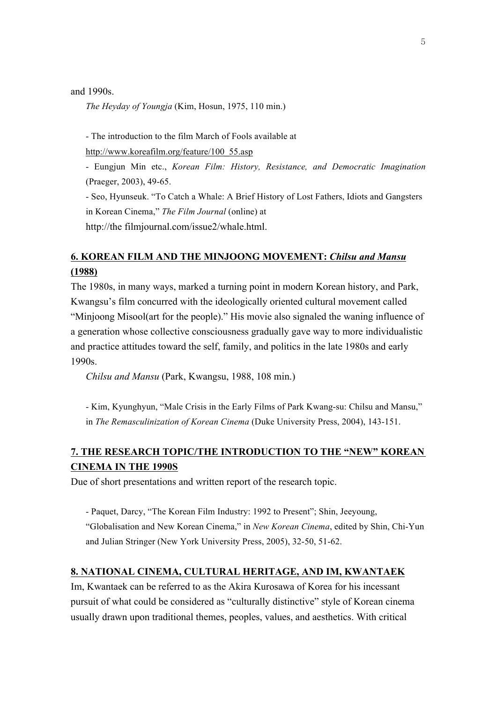and 1990s.

*The Heyday of Youngja* (Kim, Hosun, 1975, 110 min.)

- The introduction to the film March of Fools available at

http://www.koreafilm.org/feature/100\_55.asp

- Eungjun Min etc., *Korean Film: History, Resistance, and Democratic Imagination* (Praeger, 2003), 49-65.

- Seo, Hyunseuk. "To Catch a Whale: A Brief History of Lost Fathers, Idiots and Gangsters in Korean Cinema," *The Film Journal* (online) at

http://the filmjournal.com/issue2/whale.html.

# **6. KOREAN FILM AND THE MINJOONG MOVEMENT:** *Chilsu and Mansu* **(1988)**

The 1980s, in many ways, marked a turning point in modern Korean history, and Park, Kwangsu's film concurred with the ideologically oriented cultural movement called "Minjoong Misool(art for the people)." His movie also signaled the waning influence of a generation whose collective consciousness gradually gave way to more individualistic and practice attitudes toward the self, family, and politics in the late 1980s and early 1990s.

*Chilsu and Mansu* (Park, Kwangsu, 1988, 108 min.)

- Kim, Kyunghyun, "Male Crisis in the Early Films of Park Kwang-su: Chilsu and Mansu," in *The Remasculinization of Korean Cinema* (Duke University Press, 2004), 143-151.

# **7. THE RESEARCH TOPIC/THE INTRODUCTION TO THE "NEW" KOREAN CINEMA IN THE 1990S**

Due of short presentations and written report of the research topic.

- Paquet, Darcy, "The Korean Film Industry: 1992 to Present"; Shin, Jeeyoung, "Globalisation and New Korean Cinema," in *New Korean Cinema*, edited by Shin, Chi-Yun and Julian Stringer (New York University Press, 2005), 32-50, 51-62.

## **8. NATIONAL CINEMA, CULTURAL HERITAGE, AND IM, KWANTAEK**

Im, Kwantaek can be referred to as the Akira Kurosawa of Korea for his incessant pursuit of what could be considered as "culturally distinctive" style of Korean cinema usually drawn upon traditional themes, peoples, values, and aesthetics. With critical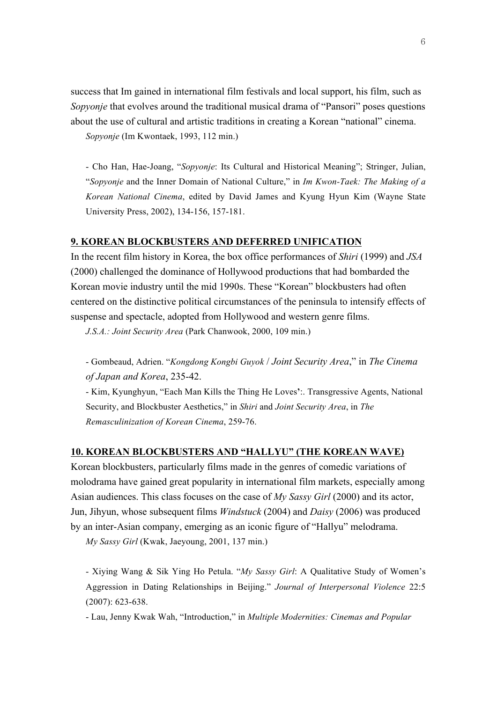success that Im gained in international film festivals and local support, his film, such as *Sopyonje* that evolves around the traditional musical drama of "Pansori" poses questions about the use of cultural and artistic traditions in creating a Korean "national" cinema.

*Sopyonje* (Im Kwontaek, 1993, 112 min.)

- Cho Han, Hae-Joang, "*Sopyonje*: Its Cultural and Historical Meaning"; Stringer, Julian, "*Sopyonje* and the Inner Domain of National Culture," in *Im Kwon-Taek: The Making of a Korean National Cinema*, edited by David James and Kyung Hyun Kim (Wayne State University Press, 2002), 134-156, 157-181.

#### **9. KOREAN BLOCKBUSTERS AND DEFERRED UNIFICATION**

In the recent film history in Korea, the box office performances of *Shiri* (1999) and *JSA* (2000) challenged the dominance of Hollywood productions that had bombarded the Korean movie industry until the mid 1990s. These "Korean" blockbusters had often centered on the distinctive political circumstances of the peninsula to intensify effects of suspense and spectacle, adopted from Hollywood and western genre films.

*J.S.A.: Joint Security Area* (Park Chanwook, 2000, 109 min.)

- Gombeaud, Adrien. "*Kongdong Kongbi Guyok* / *Joint Security Area*," in *The Cinema of Japan and Korea*, 235-42.

- Kim, Kyunghyun, "Each Man Kills the Thing He Loves**'**:. Transgressive Agents, National Security, and Blockbuster Aesthetics," in *Shiri* and *Joint Security Area*, in *The Remasculinization of Korean Cinema*, 259-76.

### **10. KOREAN BLOCKBUSTERS AND "HALLYU" (THE KOREAN WAVE)**

Korean blockbusters, particularly films made in the genres of comedic variations of molodrama have gained great popularity in international film markets, especially among Asian audiences. This class focuses on the case of *My Sassy Girl* (2000) and its actor, Jun, Jihyun, whose subsequent films *Windstuck* (2004) and *Daisy* (2006) was produced by an inter-Asian company, emerging as an iconic figure of "Hallyu" melodrama.

*My Sassy Girl* (Kwak, Jaeyoung, 2001, 137 min.)

- Xiying Wang & Sik Ying Ho Petula. "*My Sassy Girl*: A Qualitative Study of Women's Aggression in Dating Relationships in Beijing." *Journal of Interpersonal Violence* 22:5 (2007): 623-638.

- Lau, Jenny Kwak Wah, "Introduction," in *Multiple Modernities: Cinemas and Popular*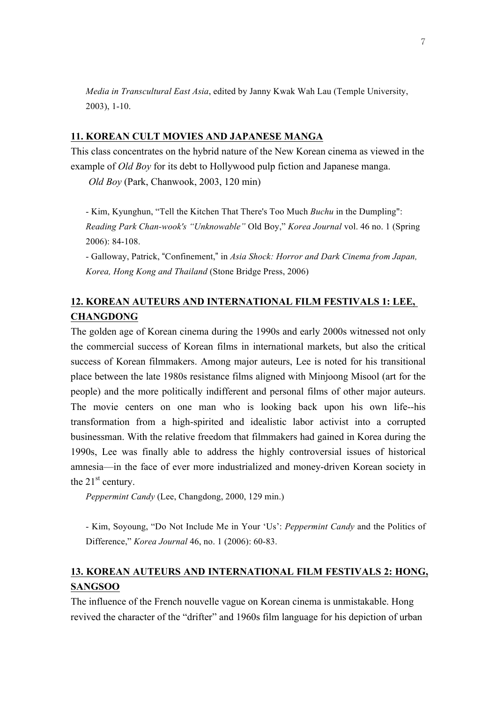*Media in Transcultural East Asia*, edited by Janny Kwak Wah Lau (Temple University, 2003), 1-10.

### **11. KOREAN CULT MOVIES AND JAPANESE MANGA**

This class concentrates on the hybrid nature of the New Korean cinema as viewed in the example of *Old Boy* for its debt to Hollywood pulp fiction and Japanese manga.

*Old Boy* (Park, Chanwook, 2003, 120 min)

- Kim, Kyunghun, "Tell the Kitchen That There's Too Much *Buchu* in the Dumpling": *Reading Park Chan-wook's "Unknowable"* Old Boy," *Korea Journal* vol. 46 no. 1 (Spring 2006): 84-108.

- Galloway, Patrick, "Confinement," in *Asia Shock: Horror and Dark Cinema from Japan, Korea, Hong Kong and Thailand* (Stone Bridge Press, 2006)

# **12. KOREAN AUTEURS AND INTERNATIONAL FILM FESTIVALS 1: LEE, CHANGDONG**

The golden age of Korean cinema during the 1990s and early 2000s witnessed not only the commercial success of Korean films in international markets, but also the critical success of Korean filmmakers. Among major auteurs, Lee is noted for his transitional place between the late 1980s resistance films aligned with Minjoong Misool (art for the people) and the more politically indifferent and personal films of other major auteurs. The movie centers on one man who is looking back upon his own life--his transformation from a high-spirited and idealistic labor activist into a corrupted businessman. With the relative freedom that filmmakers had gained in Korea during the 1990s, Lee was finally able to address the highly controversial issues of historical amnesia—in the face of ever more industrialized and money-driven Korean society in the  $21<sup>st</sup>$  century.

*Peppermint Candy* (Lee, Changdong, 2000, 129 min.)

- Kim, Soyoung, "Do Not Include Me in Your 'Us': *Peppermint Candy* and the Politics of Difference," *Korea Journal* 46, no. 1 (2006): 60-83.

# **13. KOREAN AUTEURS AND INTERNATIONAL FILM FESTIVALS 2: HONG, SANGSOO**

The influence of the French nouvelle vague on Korean cinema is unmistakable. Hong revived the character of the "drifter" and 1960s film language for his depiction of urban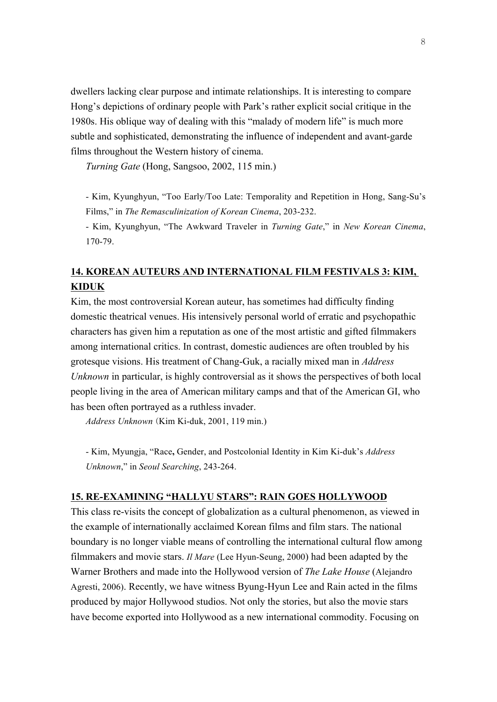dwellers lacking clear purpose and intimate relationships. It is interesting to compare Hong's depictions of ordinary people with Park's rather explicit social critique in the 1980s. His oblique way of dealing with this "malady of modern life" is much more subtle and sophisticated, demonstrating the influence of independent and avant-garde films throughout the Western history of cinema.

*Turning Gate* (Hong, Sangsoo, 2002, 115 min.)

- Kim, Kyunghyun, "Too Early/Too Late: Temporality and Repetition in Hong, Sang-Su's Films," in *The Remasculinization of Korean Cinema*, 203-232.

- Kim, Kyunghyun, "The Awkward Traveler in *Turning Gate*," in *New Korean Cinema*, 170-79.

# **14. KOREAN AUTEURS AND INTERNATIONAL FILM FESTIVALS 3: KIM, KIDUK**

Kim, the most controversial Korean auteur, has sometimes had difficulty finding domestic theatrical venues. His intensively personal world of erratic and psychopathic characters has given him a reputation as one of the most artistic and gifted filmmakers among international critics. In contrast, domestic audiences are often troubled by his grotesque visions. His treatment of Chang-Guk, a racially mixed man in *Address Unknown* in particular, is highly controversial as it shows the perspectives of both local people living in the area of American military camps and that of the American GI, who has been often portrayed as a ruthless invader.

*Address Unknown* (Kim Ki-duk, 2001, 119 min.)

- Kim, Myungja, "Race**,** Gender, and Postcolonial Identity in Kim Ki-duk's *Address Unknown*," in *Seoul Searching*, 243-264.

### **15. RE-EXAMINING "HALLYU STARS": RAIN GOES HOLLYWOOD**

This class re-visits the concept of globalization as a cultural phenomenon, as viewed in the example of internationally acclaimed Korean films and film stars. The national boundary is no longer viable means of controlling the international cultural flow among filmmakers and movie stars. *Il Mare* (Lee Hyun-Seung, 2000) had been adapted by the Warner Brothers and made into the Hollywood version of *The Lake House* (Alejandro Agresti, 2006). Recently, we have witness Byung-Hyun Lee and Rain acted in the films produced by major Hollywood studios. Not only the stories, but also the movie stars have become exported into Hollywood as a new international commodity. Focusing on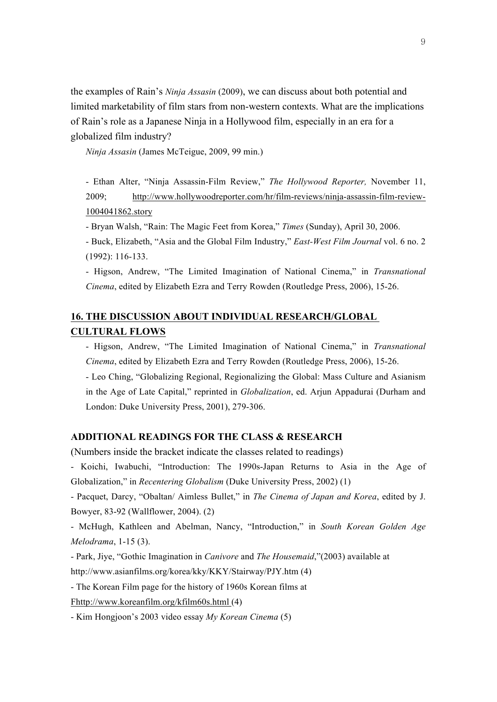the examples of Rain's *Ninja Assasin* (2009), we can discuss about both potential and limited marketability of film stars from non-western contexts. What are the implications of Rain's role as a Japanese Ninja in a Hollywood film, especially in an era for a globalized film industry?

*Ninja Assasin* (James McTeigue, 2009, 99 min.)

- Ethan Alter, "Ninja Assassin-Film Review," *The Hollywood Reporter,* November 11, 2009; http://www.hollywoodreporter.com/hr/film-reviews/ninja-assassin-film-review-1004041862.story

- Bryan Walsh, "Rain: The Magic Feet from Korea," *Times* (Sunday), April 30, 2006.

- Buck, Elizabeth, "Asia and the Global Film Industry," *East-West Film Journal* vol. 6 no. 2 (1992): 116-133.

- Higson, Andrew, "The Limited Imagination of National Cinema," in *Transnational Cinema*, edited by Elizabeth Ezra and Terry Rowden (Routledge Press, 2006), 15-26.

# **16. THE DISCUSSION ABOUT INDIVIDUAL RESEARCH/GLOBAL CULTURAL FLOWS**

- Higson, Andrew, "The Limited Imagination of National Cinema," in *Transnational Cinema*, edited by Elizabeth Ezra and Terry Rowden (Routledge Press, 2006), 15-26.

- Leo Ching, "Globalizing Regional, Regionalizing the Global: Mass Culture and Asianism in the Age of Late Capital," reprinted in *Globalization*, ed. Arjun Appadurai (Durham and London: Duke University Press, 2001), 279-306.

### **ADDITIONAL READINGS FOR THE CLASS & RESEARCH**

(Numbers inside the bracket indicate the classes related to readings)

- Koichi, Iwabuchi, "Introduction: The 1990s-Japan Returns to Asia in the Age of Globalization," in *Recentering Globalism* (Duke University Press, 2002) (1)

- Pacquet, Darcy, "Obaltan/ Aimless Bullet," in *The Cinema of Japan and Korea*, edited by J. Bowyer, 83-92 (Wallflower, 2004). (2)

- McHugh, Kathleen and Abelman, Nancy, "Introduction," in *South Korean Golden Age Melodrama*, 1-15 (3).

- Park, Jiye, "Gothic Imagination in *Canivore* and *The Housemaid*,"(2003) available at

http://www.asianfilms.org/korea/kky/KKY/Stairway/PJY.htm (4)

- The Korean Film page for the history of 1960s Korean films at

Fhttp://www.koreanfilm.org/kfilm60s.html (4)

- Kim Hongjoon's 2003 video essay *My Korean Cinema* (5)